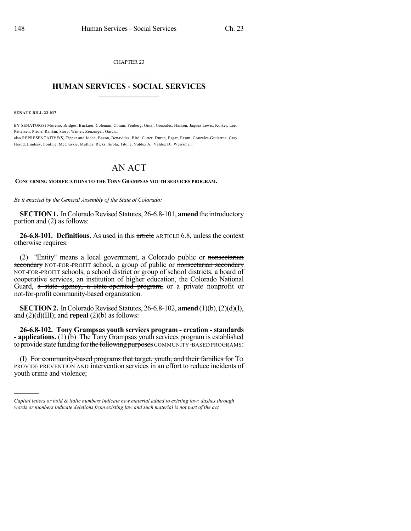CHAPTER 23  $\mathcal{L}_\text{max}$  . The set of the set of the set of the set of the set of the set of the set of the set of the set of the set of the set of the set of the set of the set of the set of the set of the set of the set of the set

## **HUMAN SERVICES - SOCIAL SERVICES**  $\frac{1}{2}$  ,  $\frac{1}{2}$  ,  $\frac{1}{2}$  ,  $\frac{1}{2}$  ,  $\frac{1}{2}$  ,  $\frac{1}{2}$

**SENATE BILL 22-037**

)))))

BY SENATOR(S) Moreno, Bridges, Buckner, Coleman, Coram, Fenberg, Ginal, Gonzales, Hansen, Jaquez Lewis, Kolker, Lee, Pettersen, Priola, Rankin, Story, Winter, Zenzinger, Garcia; also REPRESENTATIVE(S) Tipper and Jodeh, Bacon, Benavidez, Bird, Cutter, Duran, Esgar, Exum, Gonzales-Gutierrez, Gray, Herod, Lindsay, Lontine, McCluskie, Mullica, Ricks, Sirota, Titone, Valdez A., Valdez D., Weissman.

## AN ACT

## **CONCERNING MODIFICATIONS TO THE TONY GRAMPSAS YOUTH SERVICES PROGRAM.**

*Be it enacted by the General Assembly of the State of Colorado:*

**SECTION 1.** In Colorado Revised Statutes, 26-6.8-101, **amend** the introductory portion and (2) as follows:

**26-6.8-101. Definitions.** As used in this article ARTICLE 6.8, unless the context otherwise requires:

(2) "Entity" means a local government, a Colorado public or nonsectarian secondary NOT-FOR-PROFIT school, a group of public or nonsectarian secondary NOT-FOR-PROFIT schools, a school district or group of school districts, a board of cooperative services, an institution of higher education, the Colorado National Guard, a state agency, a state-operated program, or a private nonprofit or not-for-profit community-based organization.

**SECTION 2.** In Colorado Revised Statutes, 26-6.8-102, **amend** (1)(b), (2)(d)(I), and (2)(d)(III); and **repeal** (2)(b) as follows:

**26-6.8-102. Tony Grampsas youth services program - creation - standards - applications.** (1) (b) The Tony Grampsas youth services program is established to provide state funding for the following purposes COMMUNITY-BASED PROGRAMS:

(I) For community-based programs that target, youth, and their families for TO PROVIDE PREVENTION AND intervention services in an effort to reduce incidents of youth crime and violence;

*Capital letters or bold & italic numbers indicate new material added to existing law; dashes through words or numbers indicate deletions from existing law and such material is not part of the act.*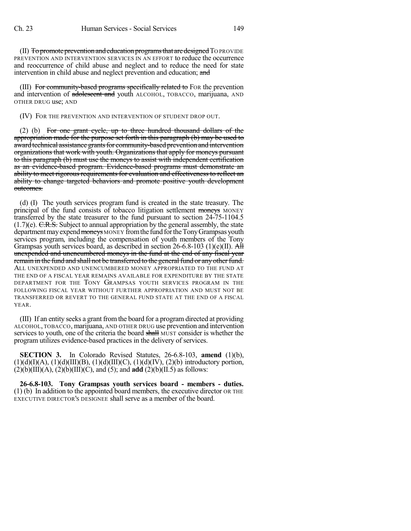(II) To promote prevention and education programs that are designed TO PROVIDE PREVENTION AND INTERVENTION SERVICES IN AN EFFORT to reduce the occurrence and reoccurrence of child abuse and neglect and to reduce the need for state intervention in child abuse and neglect prevention and education; and

(III) For community-based programs specifically related to For the prevention and intervention of adolescent and youth ALCOHOL, TOBACCO, marijuana, AND OTHER DRUG use; AND

(IV) FOR THE PREVENTION AND INTERVENTION OF STUDENT DROP OUT.

(2) (b) For one grant cycle, up to three hundred thousand dollars of the appropriation made for the purpose set forth in this paragraph (b) may be used to award technical assistance grants for community-based prevention and intervention organizations that work with youth. Organizations that apply for moneys pursuant to this paragraph (b) must use the moneys to assist with independent certification as an evidence-based program. Evidence-based programs must demonstrate an ability to meet rigorous requirements for evaluation and effectiveness to reflect an ability to change targeted behaviors and promote positive youth development outcomes.

(d) (I) The youth services program fund is created in the state treasury. The principal of the fund consists of tobacco litigation settlement moneys MONEY transferred by the state treasurer to the fund pursuant to section 24-75-1104.5  $(1.7)$ (e). C.R.S. Subject to annual appropriation by the general assembly, the state department may expend moneys MONEY from the fund for the Tony Grampsas youth services program, including the compensation of youth members of the Tony Grampsas youth services board, as described in section  $26-6.8-103$  (1)(e)(II). All unexpended and unencumbered moneys in the fund at the end of any fiscal year remain in the fund and shall not be transferred to the general fund or any other fund. ALL UNEXPENDED AND UNENCUMBERED MONEY APPROPRIATED TO THE FUND AT THE END OF A FISCAL YEAR REMAINS AVAILABLE FOR EXPENDITURE BY THE STATE DEPARTMENT FOR THE TONY GRAMPSAS YOUTH SERVICES PROGRAM IN THE FOLLOWING FISCAL YEAR WITHOUT FURTHER APPROPRIATION AND MUST NOT BE TRANSFERRED OR REVERT TO THE GENERAL FUND STATE AT THE END OF A FISCAL YEAR.

(III) If an entity seeks a grant fromthe board for a program directed at providing ALCOHOL, TOBACCO, marijuana, AND OTHER DRUG use prevention and intervention services to youth, one of the criteria the board shall MUST consider is whether the program utilizes evidence-based practices in the delivery of services.

**SECTION 3.** In Colorado Revised Statutes, 26-6.8-103, **amend** (1)(b),  $(1)(d)(I)(A)$ ,  $(1)(d)(III)(B)$ ,  $(1)(d)(III)(C)$ ,  $(1)(d)(IV)$ ,  $(2)(b)$  introductory portion,  $(2)(b)(III)(A), (2)(b)(III)(C), and (5); and add (2)(b)(II.5) as follows:$ 

**26-6.8-103. Tony Grampsas youth services board - members - duties.** (1) (b) In addition to the appointed board members, the executive director OR THE EXECUTIVE DIRECTOR'S DESIGNEE shall serve as a member of the board.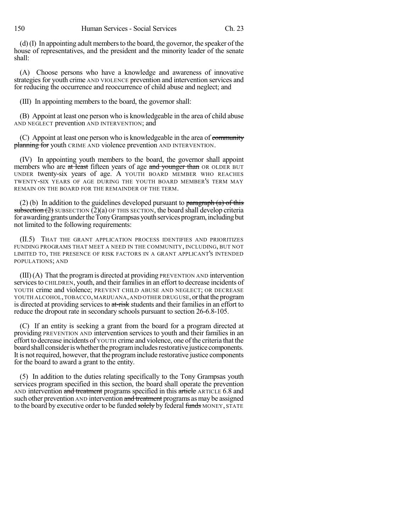(d)(I) In appointing adult membersto the board, the governor, the speaker of the house of representatives, and the president and the minority leader of the senate shall:

(A) Choose persons who have a knowledge and awareness of innovative strategies for youth crime AND VIOLENCE prevention and intervention services and for reducing the occurrence and reoccurrence of child abuse and neglect; and

(III) In appointing members to the board, the governor shall:

(B) Appoint at least one person who is knowledgeable in the area of child abuse AND NEGLECT prevention AND INTERVENTION; and

(C) Appoint at least one person who is knowledgeable in the area of community planning for youth CRIME AND violence prevention AND INTERVENTION.

(IV) In appointing youth members to the board, the governor shall appoint members who are at least fifteen years of age and younger than OR OLDER BUT UNDER twenty-six years of age. A YOUTH BOARD MEMBER WHO REACHES TWENTY-SIX YEARS OF AGE DURING THE YOUTH BOARD MEMBER'S TERM MAY REMAIN ON THE BOARD FOR THE REMAINDER OF THE TERM.

(2) (b) In addition to the guidelines developed pursuant to paragraph (a) of this subsection  $(2)$  SUBSECTION  $(2)(a)$  OF THIS SECTION, the board shall develop criteria for awarding grants under the Tony Grampsas youth services program, including but not limited to the following requirements:

(II.5) THAT THE GRANT APPLICATION PROCESS IDENTIFIES AND PRIORITIZES FUNDING PROGRAMS THAT MEET A NEED IN THE COMMUNITY, INCLUDING, BUT NOT LIMITED TO, THE PRESENCE OF RISK FACTORS IN A GRANT APPLICANT'S INTENDED POPULATIONS; AND

(III)(A) That the programis directed at providing PREVENTION AND intervention services to CHILDREN, youth, and their families in an effort to decrease incidents of YOUTH crime and violence; PREVENT CHILD ABUSE AND NEGLECT; OR DECREASE YOUTH ALCOHOL, TOBACCO, MARIJUANA, AND OTHER DRUGUSE, or that the program is directed at providing services to at-risk students and their families in an effort to reduce the dropout rate in secondary schools pursuant to section 26-6.8-105.

(C) If an entity is seeking a grant from the board for a program directed at providing PREVENTION AND intervention services to youth and their families in an effort to decrease incidents of YOUTH crime and violence, one ofthe criteria that the board shall consider is whether the program includes restorative justice components. It is not required, however, that the programinclude restorative justice components for the board to award a grant to the entity.

(5) In addition to the duties relating specifically to the Tony Grampsas youth services program specified in this section, the board shall operate the prevention AND intervention and treatment programs specified in this article ARTICLE 6.8 and such other prevention AND intervention and treatment programs as may be assigned to the board by executive order to be funded solely by federal funds MONEY, STATE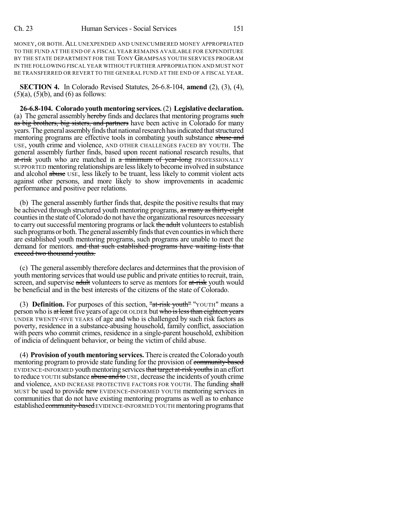MONEY, OR BOTH. ALL UNEXPENDED AND UNENCUMBERED MONEY APPROPRIATED TO THE FUND AT THE END OF A FISCAL YEAR REMAINS AVAILABLE FOR EXPENDITURE BY THE STATE DEPARTMENT FOR THE TONY GRAMPSAS YOUTH SERVICES PROGRAM IN THE FOLLOWING FISCAL YEAR WITHOUT FURTHER APPROPRIATION AND MUST NOT BE TRANSFERRED OR REVERT TO THE GENERAL FUND AT THE END OF A FISCAL YEAR.

**SECTION 4.** In Colorado Revised Statutes, 26-6.8-104, **amend** (2), (3), (4),  $(5)(a)$ ,  $(5)(b)$ , and  $(6)$  as follows:

**26-6.8-104. Colorado youth mentoring services.** (2) **Legislative declaration.** (a) The general assembly hereby finds and declares that mentoring programs such as big brothers, big sisters, and partners have been active in Colorado for many years. The general assembly finds that national research has indicated that structured mentoring programs are effective tools in combating youth substance abuse and USE, youth crime and violence, AND OTHER CHALLENGES FACED BY YOUTH. The general assembly further finds, based upon recent national research results, that at-risk youth who are matched in a minimum of year-long PROFESSIONALLY SUPPORTED mentoring relationships are lesslikelyto become involved in substance and alcohol abuse USE, less likely to be truant, less likely to commit violent acts against other persons, and more likely to show improvements in academic performance and positive peer relations.

(b) The general assembly further finds that, despite the positive results that may be achieved through structured youth mentoring programs, as many as thirty-eight counties in the state of Colorado do not have the organizational resources necessary to carry out successful mentoring programs or lack the adult volunteers to establish such programs or both. The general assembly finds that even counties in which there are established youth mentoring programs, such programs are unable to meet the demand for mentors. and that such established programs have waiting lists that exceed two thousand youths.

(c) The general assembly therefore declares and determinesthat the provision of youth mentoring services that would use public and private entities to recruit, train, screen, and supervise adult volunteers to serve as mentors for at-risk youth would be beneficial and in the best interests of the citizens of the state of Colorado.

(3) **Definition.** For purposes of this section, "at-risk youth" "YOUTH" means a person who is at least five years of age OR OLDER but who is less than eighteen years UNDER TWENTY-FIVE YEARS of age and who is challenged by such risk factors as poverty, residence in a substance-abusing household, family conflict, association with peers who commit crimes, residence in a single-parent household, exhibition of indicia of delinquent behavior, or being the victim of child abuse.

(4) **Provision of youth mentoring services.** There is created theColorado youth mentoring program to provide state funding for the provision of community-based EVIDENCE-INFORMED youth mentoring services that target at-risk youths in an effort to reduce YOUTH substance abuse and to USE, decrease the incidents of youth crime and violence, AND INCREASE PROTECTIVE FACTORS FOR YOUTH. The funding shall MUST be used to provide new EVIDENCE-INFORMED YOUTH mentoring services in communities that do not have existing mentoring programs as well as to enhance established community-based EVIDENCE-INFORMED YOUTH mentoring programs that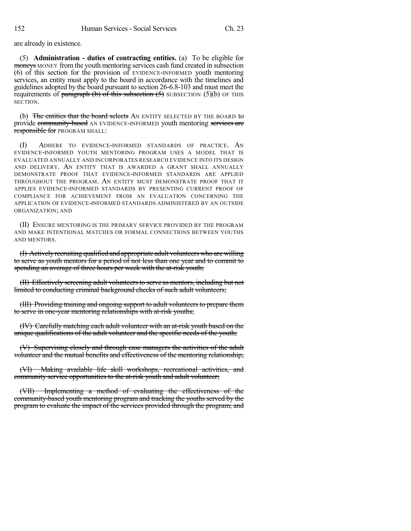are already in existence.

(5) **Administration - duties of contracting entities.** (a) To be eligible for moneys MONEY from the youth mentoring services cash fund created in subsection (6) of this section for the provision of EVIDENCE-INFORMED youth mentoring services, an entity must apply to the board in accordance with the timelines and guidelines adopted by the board pursuant to section 26-6.8-103 and must meet the requirements of paragraph (b) of this subsection  $(5)$  SUBSECTION  $(5)(b)$  OF THIS SECTION.

(b) The entities that the board selects AN ENTITY SELECTED BY THE BOARD to provide community-based AN EVIDENCE-INFORMED youth mentoring services are **responsible for PROGRAM SHALL:** 

(I) ADHERE TO EVIDENCE-INFORMED STANDARDS OF PRACTICE. AN EVIDENCE-INFORMED YOUTH MENTORING PROGRAM USES A MODEL THAT IS EVALUATED ANNUALLY AND INCORPORATES RESEARCH EVIDENCE INTO ITS DESIGN AND DELIVERY. AN ENTITY THAT IS AWARDED A GRANT SHALL ANNUALLY DEMONSTRATE PROOF THAT EVIDENCE-INFORMED STANDARDS ARE APPLIED THROUGHOUT THE PROGRAM. AN ENTITY MUST DEMONSTRATE PROOF THAT IT APPLIES EVIDENCE-INFORMED STANDARDS BY PRESENTING CURRENT PROOF OF COMPLIANCE FOR ACHIEVEMENT FROM AN EVALUATION CONCERNING THE APPLICATION OF EVIDENCE-INFORMED STANDARDS ADMINISTERED BY AN OUTSIDE ORGANIZATION; AND

(II) ENSURE MENTORING IS THE PRIMARY SERVICE PROVIDED BY THE PROGRAM AND MAKE INTENTIONAL MATCHES OR FORMAL CONNECTIONS BETWEEN YOUTHS AND MENTORS.

(I) Actively recruiting qualified and appropriate adult volunteers who are willing to serve as youth mentors for a period of not less than one year and to commit to spending an average of three hours per week with the at-risk youth;

(II) Effectively screening adult volunteersto serve as mentors, including but not limited to conducting criminal background checks of such adult volunteers;

(III) Providing training and ongoing support to adult volunteers to prepare them to serve in one-year mentoring relationships with at-risk youths;

(IV) Carefully matching each adult volunteer with an at-risk youth based on the unique qualifications of the adult volunteer and the specific needs of the youth;

(V) Supervising closely and through case managers the activities of the adult volunteer and the mutual benefits and effectiveness of the mentoring relationship;

(VI) Making available life skill workshops, recreational activities, and community service opportunities to the at-risk youth and adult volunteer;

(VII) Implementing a method of evaluating the effectiveness of the community-based youth mentoring program and tracking the youths served by the program to evaluate the impact of the services provided through the program; and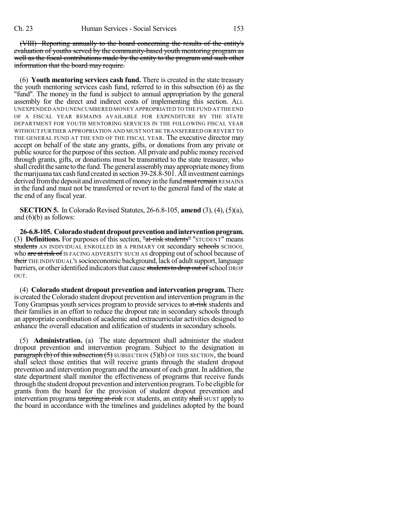(VIII) Reporting annually to the board concerning the results of the entity's evaluation of youths served by the community-based youth mentoring program as well as the fiscal contributions made by the entity to the program and such other information that the board may require.

(6) **Youth mentoring services cash fund.** There is created in the state treasury the youth mentoring services cash fund, referred to in this subsection (6) as the "fund". The money in the fund is subject to annual appropriation by the general assembly for the direct and indirect costs of implementing this section. ALL UNEXPENDED AND UNENCUMBERED MONEY APPROPRIATED TO THE FUND AT THE END OF A FISCAL YEAR REMAINS AVAILABLE FOR EXPENDITURE BY THE STATE DEPARTMENT FOR YOUTH MENTORING SERVICES IN THE FOLLOWING FISCAL YEAR WITHOUT FURTHER APPROPRIATION AND MUST NOT BE TRANSFERRED OR REVERT TO THE GENERAL FUND AT THE END OF THE FISCAL YEAR. The executive director may accept on behalf of the state any grants, gifts, or donations from any private or public source for the purpose of this section. All private and public money received through grants, gifts, or donations must be transmitted to the state treasurer, who shall credit the same to the fund. The general assembly may appropriate money from themarijuana tax cash fund created in section 39-28.8-501. All investment earnings derived from the deposit and investment of money in the fund must remain REMAINS in the fund and must not be transferred or revert to the general fund of the state at the end of any fiscal year.

**SECTION 5.** In Colorado Revised Statutes, 26-6.8-105, **amend** (3), (4), (5)(a), and  $(6)(b)$  as follows:

**26-6.8-105. Coloradostudentdropoutpreventionandinterventionprogram.** (3) **Definitions.** For purposes of this section, "at-risk students" "STUDENT" means students AN INDIVIDUAL ENROLLED in A PRIMARY OR secondary schools SCHOOL who are at risk of IS FACING ADVERSITY SUCH AS dropping out of school because of their THE INDIVIDUAL's socioeconomic background, lack of adult support, language barriers, or other identified indicators that cause students to drop out of school DROP OUT.

(4) **Colorado student dropout prevention and intervention program.** There is created the Colorado student dropout prevention and intervention programin the Tony Grampsas youth services program to provide services to at-risk students and their families in an effort to reduce the dropout rate in secondary schools through an appropriate combination of academic and extracurricular activities designed to enhance the overall education and edification of students in secondary schools.

(5) **Administration.** (a) The state department shall administer the student dropout prevention and intervention program. Subject to the designation in **paragraph (b) of this subsection (5)** SUBSECTION (5)(b) OF THIS SECTION, the board shall select those entities that will receive grants through the student dropout prevention and intervention programand the amount of each grant. In addition, the state department shall monitor the effectiveness of programs that receive funds through the student dropout prevention and intervention program. To be eligible for grants from the board for the provision of student dropout prevention and intervention programs targeting at-risk FOR students, an entity shall MUST apply to the board in accordance with the timelines and guidelines adopted by the board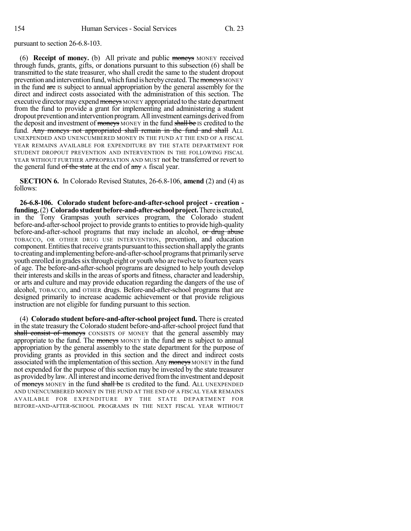pursuant to section 26-6.8-103.

(6) **Receipt of money.** (b) All private and public moneys MONEY received through funds, grants, gifts, or donations pursuant to this subsection (6) shall be transmitted to the state treasurer, who shall credit the same to the student dropout prevention and intervention fund, which fund is hereby created. The moneys MONEY in the fund are IS subject to annual appropriation by the general assembly for the direct and indirect costs associated with the administration of this section. The executive director may expend moneys MONEY appropriated to the state department from the fund to provide a grant for implementing and administering a student dropout prevention and intervention program. All investment earnings derived from the deposit and investment of moneys MONEY in the fund shall be IS credited to the fund. Any moneys not appropriated shall remain in the fund and shall ALL UNEXPENDED AND UNENCUMBERED MONEY IN THE FUND AT THE END OF A FISCAL YEAR REMAINS AVAILABLE FOR EXPENDITURE BY THE STATE DEPARTMENT FOR STUDENT DROPOUT PREVENTION AND INTERVENTION IN THE FOLLOWING FISCAL YEAR WITHOUT FURTHER APPROPRIATION AND MUST not be transferred or revert to the general fund of the state at the end of any A fiscal year.

**SECTION 6.** In Colorado Revised Statutes, 26-6.8-106, **amend** (2) and (4) as follows:

**26-6.8-106. Colorado student before-and-after-school project - creation funding.**(2) **Coloradostudentbefore-and-after-schoolproject.**There iscreated, in the Tony Grampsas youth services program, the Colorado student before-and-after-school project to provide grants to entities to provide high-quality before-and-after-school programs that may include an alcohol, or drug abuse TOBACCO, OR OTHER DRUG USE INTERVENTION, prevention, and education component. Entities that receive grants pursuant to this section shall apply the grants to creating and implementing before-and-after-school programs that primarily serve youth enrolled in grades six through eight or youth who are twelve to fourteen years of age. The before-and-after-school programs are designed to help youth develop their interests and skills in the areas of sports and fitness, character and leadership, or arts and culture and may provide education regarding the dangers of the use of alcohol, TOBACCO, and OTHER drugs. Before-and-after-school programs that are designed primarily to increase academic achievement or that provide religious instruction are not eligible for funding pursuant to this section.

(4) **Colorado student before-and-after-school project fund.** There is created in the state treasury the Colorado student before-and-after-school project fund that shall consist of moneys CONSISTS OF MONEY that the general assembly may appropriate to the fund. The moneys MONEY in the fund are IS subject to annual appropriation by the general assembly to the state department for the purpose of providing grants as provided in this section and the direct and indirect costs associated with the implementation of this section. Any moneys MONEY in the fund not expended for the purpose of this section may be invested by the state treasurer as provided bylaw.Allinterest and income derived fromthe investment and deposit of moneys MONEY in the fund shall be IS credited to the fund. ALL UNEXPENDED AND UNENCUMBERED MONEY IN THE FUND AT THE END OF A FISCAL YEAR REMAINS AVAILABLE FOR EXPENDITURE BY THE STATE DEPARTMENT FOR BEFORE-AND-AFTER-SCHOOL PROGRAMS IN THE NEXT FISCAL YEAR WITHOUT